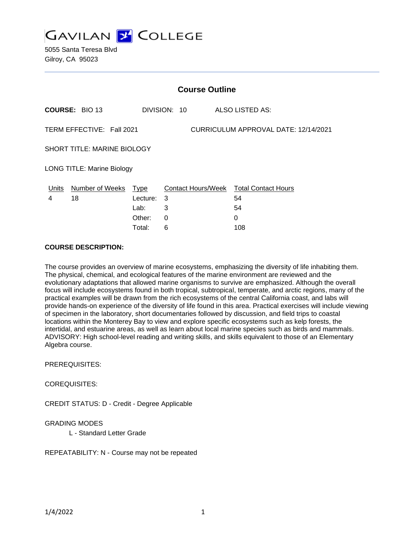

5055 Santa Teresa Blvd Gilroy, CA 95023

| <b>Course Outline</b>                                             |                       |            |              |                                        |
|-------------------------------------------------------------------|-----------------------|------------|--------------|----------------------------------------|
|                                                                   | <b>COURSE: BIO 13</b> |            | DIVISION: 10 | ALSO LISTED AS:                        |
| TERM EFFECTIVE: Fall 2021<br>CURRICULUM APPROVAL DATE: 12/14/2021 |                       |            |              |                                        |
| <b>SHORT TITLE: MARINE BIOLOGY</b>                                |                       |            |              |                                        |
| <b>LONG TITLE: Marine Biology</b>                                 |                       |            |              |                                        |
| Units                                                             | Number of Weeks       | Type       |              | Contact Hours/Week Total Contact Hours |
| 4                                                                 | 18                    | Lecture: 3 |              | 54                                     |
|                                                                   |                       | Lab:       | 3            | 54                                     |
|                                                                   |                       | Other:     | 0            | 0                                      |
|                                                                   |                       | Total:     | 6            | 108                                    |

#### **COURSE DESCRIPTION:**

The course provides an overview of marine ecosystems, emphasizing the diversity of life inhabiting them. The physical, chemical, and ecological features of the marine environment are reviewed and the evolutionary adaptations that allowed marine organisms to survive are emphasized. Although the overall focus will include ecosystems found in both tropical, subtropical, temperate, and arctic regions, many of the practical examples will be drawn from the rich ecosystems of the central California coast, and labs will provide hands-on experience of the diversity of life found in this area. Practical exercises will include viewing of specimen in the laboratory, short documentaries followed by discussion, and field trips to coastal locations within the Monterey Bay to view and explore specific ecosystems such as kelp forests, the intertidal, and estuarine areas, as well as learn about local marine species such as birds and mammals. ADVISORY: High school-level reading and writing skills, and skills equivalent to those of an Elementary Algebra course.

PREREQUISITES:

COREQUISITES:

CREDIT STATUS: D - Credit - Degree Applicable

#### GRADING MODES

L - Standard Letter Grade

REPEATABILITY: N - Course may not be repeated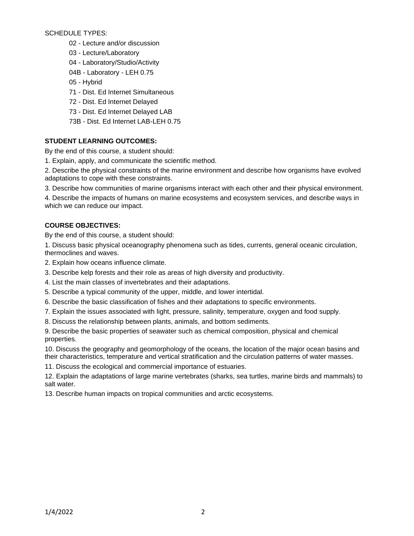SCHEDULE TYPES:

- 02 Lecture and/or discussion
- 03 Lecture/Laboratory
- 04 Laboratory/Studio/Activity
- 04B Laboratory LEH 0.75
- 05 Hybrid
- 71 Dist. Ed Internet Simultaneous
- 72 Dist. Ed Internet Delayed
- 73 Dist. Ed Internet Delayed LAB
- 73B Dist. Ed Internet LAB-LEH 0.75

# **STUDENT LEARNING OUTCOMES:**

By the end of this course, a student should:

1. Explain, apply, and communicate the scientific method.

2. Describe the physical constraints of the marine environment and describe how organisms have evolved adaptations to cope with these constraints.

3. Describe how communities of marine organisms interact with each other and their physical environment.

4. Describe the impacts of humans on marine ecosystems and ecosystem services, and describe ways in which we can reduce our impact.

# **COURSE OBJECTIVES:**

By the end of this course, a student should:

1. Discuss basic physical oceanography phenomena such as tides, currents, general oceanic circulation, thermoclines and waves.

- 2. Explain how oceans influence climate.
- 3. Describe kelp forests and their role as areas of high diversity and productivity.
- 4. List the main classes of invertebrates and their adaptations.
- 5. Describe a typical community of the upper, middle, and lower intertidal.
- 6. Describe the basic classification of fishes and their adaptations to specific environments.
- 7. Explain the issues associated with light, pressure, salinity, temperature, oxygen and food supply.
- 8. Discuss the relationship between plants, animals, and bottom sediments.

9. Describe the basic properties of seawater such as chemical composition, physical and chemical properties.

10. Discuss the geography and geomorphology of the oceans, the location of the major ocean basins and their characteristics, temperature and vertical stratification and the circulation patterns of water masses.

11. Discuss the ecological and commercial importance of estuaries.

12. Explain the adaptations of large marine vertebrates (sharks, sea turtles, marine birds and mammals) to salt water.

13. Describe human impacts on tropical communities and arctic ecosystems.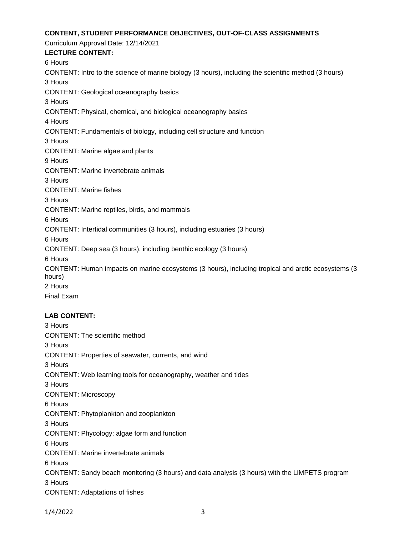### **CONTENT, STUDENT PERFORMANCE OBJECTIVES, OUT-OF-CLASS ASSIGNMENTS**

Curriculum Approval Date: 12/14/2021 **LECTURE CONTENT:** 6 Hours CONTENT: Intro to the science of marine biology (3 hours), including the scientific method (3 hours) 3 Hours CONTENT: Geological oceanography basics 3 Hours CONTENT: Physical, chemical, and biological oceanography basics 4 Hours CONTENT: Fundamentals of biology, including cell structure and function 3 Hours CONTENT: Marine algae and plants 9 Hours CONTENT: Marine invertebrate animals 3 Hours CONTENT: Marine fishes 3 Hours CONTENT: Marine reptiles, birds, and mammals 6 Hours CONTENT: Intertidal communities (3 hours), including estuaries (3 hours) 6 Hours CONTENT: Deep sea (3 hours), including benthic ecology (3 hours) 6 Hours CONTENT: Human impacts on marine ecosystems (3 hours), including tropical and arctic ecosystems (3 hours) 2 Hours Final Exam

### **LAB CONTENT:**

3 Hours CONTENT: The scientific method 3 Hours CONTENT: Properties of seawater, currents, and wind 3 Hours CONTENT: Web learning tools for oceanography, weather and tides 3 Hours CONTENT: Microscopy 6 Hours CONTENT: Phytoplankton and zooplankton 3 Hours CONTENT: Phycology: algae form and function 6 Hours CONTENT: Marine invertebrate animals 6 Hours CONTENT: Sandy beach monitoring (3 hours) and data analysis (3 hours) with the LiMPETS program 3 Hours CONTENT: Adaptations of fishes

1/4/2022 3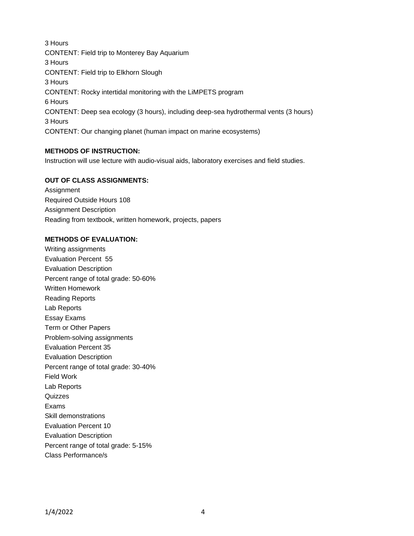3 Hours CONTENT: Field trip to Monterey Bay Aquarium 3 Hours CONTENT: Field trip to Elkhorn Slough 3 Hours CONTENT: Rocky intertidal monitoring with the LiMPETS program 6 Hours CONTENT: Deep sea ecology (3 hours), including deep-sea hydrothermal vents (3 hours) 3 Hours CONTENT: Our changing planet (human impact on marine ecosystems)

# **METHODS OF INSTRUCTION:**

Instruction will use lecture with audio-visual aids, laboratory exercises and field studies.

# **OUT OF CLASS ASSIGNMENTS:**

Assignment Required Outside Hours 108 Assignment Description Reading from textbook, written homework, projects, papers

### **METHODS OF EVALUATION:**

Writing assignments Evaluation Percent 55 Evaluation Description Percent range of total grade: 50-60% Written Homework Reading Reports Lab Reports Essay Exams Term or Other Papers Problem-solving assignments Evaluation Percent 35 Evaluation Description Percent range of total grade: 30-40% Field Work Lab Reports **Quizzes** Exams Skill demonstrations Evaluation Percent 10 Evaluation Description Percent range of total grade: 5-15% Class Performance/s